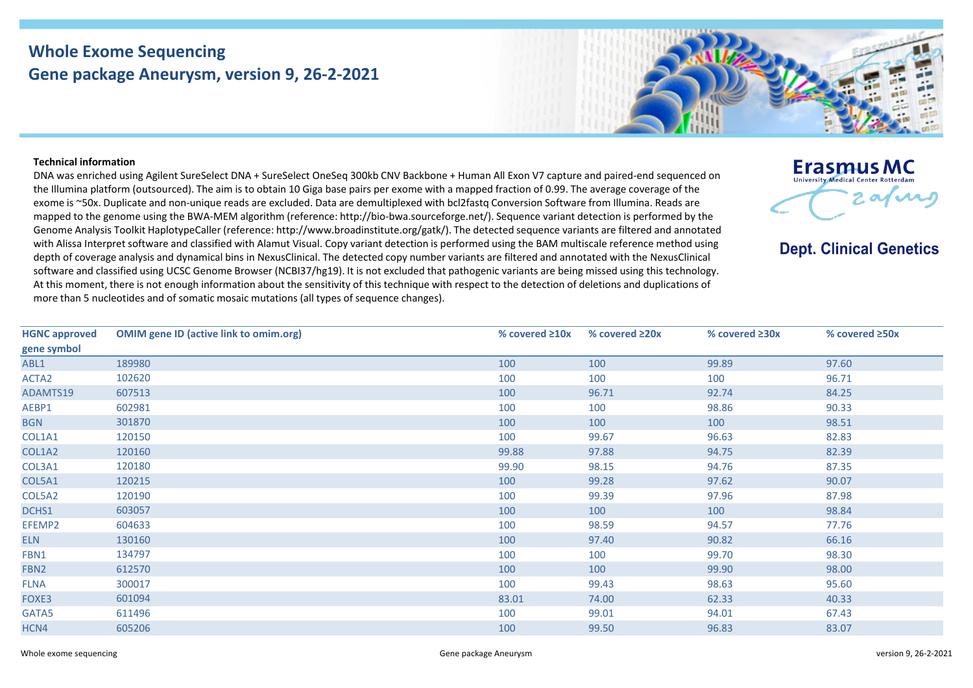## **Whole Exome Sequencing Gene package Aneurysm, version 9, 26-2-2021**



## **Technical information**

DNA was enriched using Agilent SureSelect DNA + SureSelect OneSeq 300kb CNV Backbone + Human All Exon V7 capture and paired-end sequenced on the Illumina platform (outsourced). The aim is to obtain 10 Giga base pairs per exome with a mapped fraction of 0.99. The average coverage of the exome is ~50x. Duplicate and non-unique reads are excluded. Data are demultiplexed with bcl2fastq Conversion Software from Illumina. Reads are mapped to the genome using the BWA-MEM algorithm (reference: http://bio-bwa.sourceforge.net/). Sequence variant detection is performed by the Genome Analysis Toolkit HaplotypeCaller (reference: http://www.broadinstitute.org/gatk/). The detected sequence variants are filtered and annotated with Alissa Interpret software and classified with Alamut Visual. Copy variant detection is performed using the BAM multiscale reference method using depth of coverage analysis and dynamical bins in NexusClinical. The detected copy number variants are filtered and annotated with the NexusClinical software and classified using UCSC Genome Browser (NCBI37/hg19). It is not excluded that pathogenic variants are being missed using this technology. At this moment, there is not enough information about the sensitivity of this technique with respect to the detection of deletions and duplications of more than 5 nucleotides and of somatic mosaic mutations (all types of sequence changes).



**Dept. Clinical Genetics** 

| <b>HGNC approved</b> | <b>OMIM gene ID (active link to omim.org)</b> | % covered $\geq 10x$ | % covered $\geq 20x$ | % covered $\geq 30x$ | % covered ≥50x |
|----------------------|-----------------------------------------------|----------------------|----------------------|----------------------|----------------|
| gene symbol          |                                               |                      |                      |                      |                |
| ABL1                 | 189980                                        | 100                  | 100                  | 99.89                | 97.60          |
| ACTA <sub>2</sub>    | 102620                                        | 100                  | 100                  | 100                  | 96.71          |
| ADAMTS19             | 607513                                        | 100                  | 96.71                | 92.74                | 84.25          |
| AEBP1                | 602981                                        | 100                  | 100                  | 98.86                | 90.33          |
| <b>BGN</b>           | 301870                                        | 100                  | 100                  | 100                  | 98.51          |
| COL1A1               | 120150                                        | 100                  | 99.67                | 96.63                | 82.83          |
| COL1A2               | 120160                                        | 99.88                | 97.88                | 94.75                | 82.39          |
| COL3A1               | 120180                                        | 99.90                | 98.15                | 94.76                | 87.35          |
| COL5A1               | 120215                                        | 100                  | 99.28                | 97.62                | 90.07          |
| COL5A2               | 120190                                        | 100                  | 99.39                | 97.96                | 87.98          |
| DCHS1                | 603057                                        | 100                  | 100                  | 100                  | 98.84          |
| EFEMP2               | 604633                                        | 100                  | 98.59                | 94.57                | 77.76          |
| <b>ELN</b>           | 130160                                        | 100                  | 97.40                | 90.82                | 66.16          |
| FBN1                 | 134797                                        | 100                  | 100                  | 99.70                | 98.30          |
| FBN2                 | 612570                                        | 100                  | 100                  | 99.90                | 98.00          |
| <b>FLNA</b>          | 300017                                        | 100                  | 99.43                | 98.63                | 95.60          |
| FOXE3                | 601094                                        | 83.01                | 74.00                | 62.33                | 40.33          |
| GATA5                | 611496                                        | 100                  | 99.01                | 94.01                | 67.43          |
| HCN4                 | 605206                                        | 100                  | 99.50                | 96.83                | 83.07          |